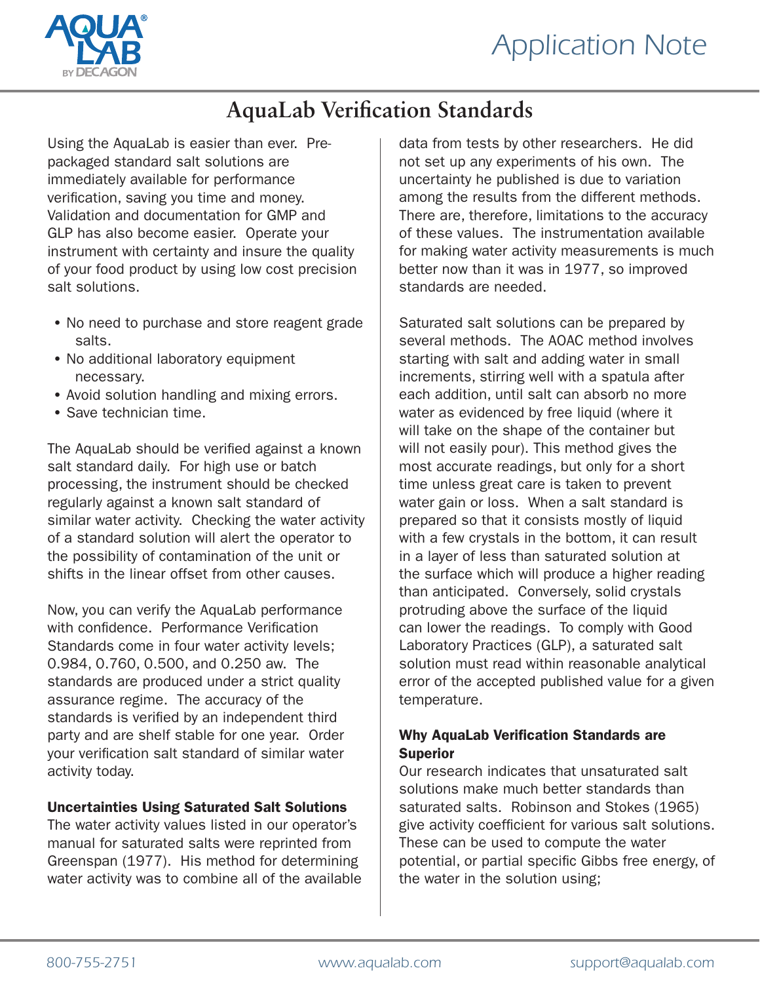

## **AquaLab Verification Standards**

Using the AquaLab is easier than ever. Prepackaged standard salt solutions are immediately available for performance verification, saving you time and money. Validation and documentation for GMP and GLP has also become easier. Operate your instrument with certainty and insure the quality of your food product by using low cost precision salt solutions.

- No need to purchase and store reagent grade salts.
- No additional laboratory equipment necessary.
- Avoid solution handling and mixing errors.
- Save technician time.

The AquaLab should be verified against a known salt standard daily. For high use or batch processing, the instrument should be checked regularly against a known salt standard of similar water activity. Checking the water activity of a standard solution will alert the operator to the possibility of contamination of the unit or shifts in the linear offset from other causes.

Now, you can verify the AquaLab performance with confidence. Performance Verification Standards come in four water activity levels; 0.984, 0.760, 0.500, and 0.250 aw. The standards are produced under a strict quality assurance regime. The accuracy of the standards is verified by an independent third party and are shelf stable for one year. Order your verification salt standard of similar water activity today.

## Uncertainties Using Saturated Salt Solutions

The water activity values listed in our operator's manual for saturated salts were reprinted from Greenspan (1977). His method for determining water activity was to combine all of the available data from tests by other researchers. He did not set up any experiments of his own. The uncertainty he published is due to variation among the results from the different methods. There are, therefore, limitations to the accuracy of these values. The instrumentation available for making water activity measurements is much better now than it was in 1977, so improved standards are needed.

Saturated salt solutions can be prepared by several methods. The AOAC method involves starting with salt and adding water in small increments, stirring well with a spatula after each addition, until salt can absorb no more water as evidenced by free liquid (where it will take on the shape of the container but will not easily pour). This method gives the most accurate readings, but only for a short time unless great care is taken to prevent water gain or loss. When a salt standard is prepared so that it consists mostly of liquid with a few crystals in the bottom, it can result in a layer of less than saturated solution at the surface which will produce a higher reading than anticipated. Conversely, solid crystals protruding above the surface of the liquid can lower the readings. To comply with Good Laboratory Practices (GLP), a saturated salt solution must read within reasonable analytical error of the accepted published value for a given temperature.

### Why AquaLab Verification Standards are Superior

Our research indicates that unsaturated salt solutions make much better standards than saturated salts. Robinson and Stokes (1965) give activity coefficient for various salt solutions. These can be used to compute the water potential, or partial specific Gibbs free energy, of the water in the solution using;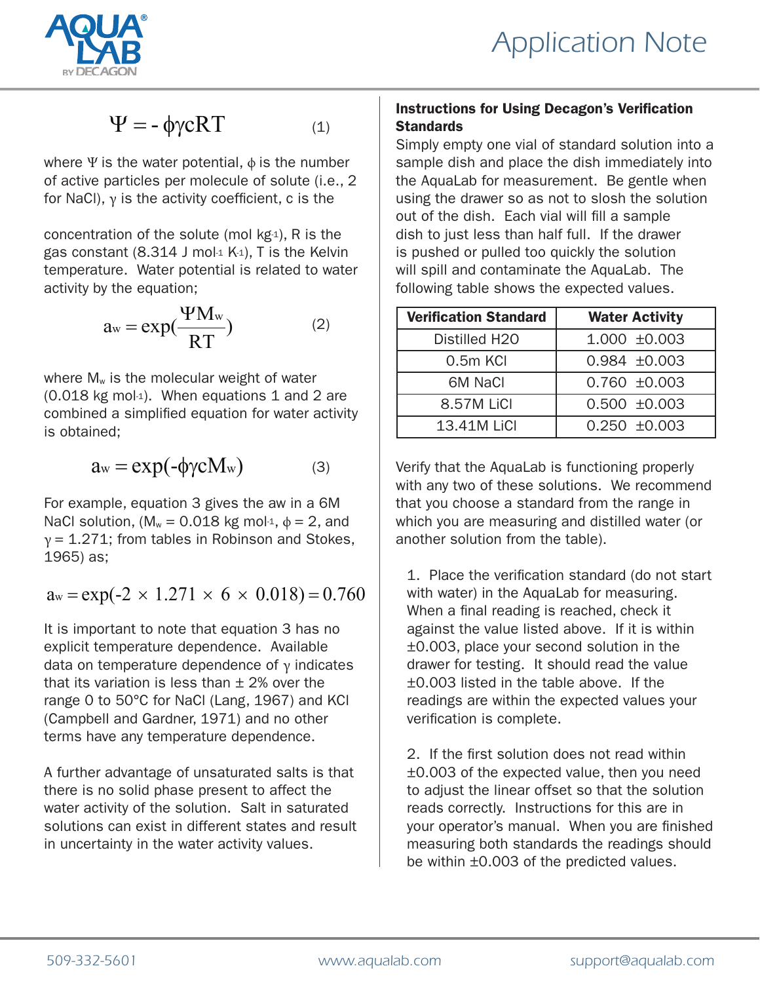

# $\Psi = -\phi \gamma cRT$  (1)

where  $\Psi$  is the water potential,  $\phi$  is the number of active particles per molecule of solute (i.e., 2 for NaCl), γ is the activity coefficient, c is the

concentration of the solute (mol  $kg_1$ ), R is the gas constant  $(8.314 \text{ J} \text{ mol} \cdot 1 \text{ K} \cdot 1)$ , T is the Kelvin temperature. Water potential is related to water activity by the equation;

$$
a_w = \exp(\frac{\Psi M_w}{RT})
$$
 (2)

where  $M_w$  is the molecular weight of water (0.018 kg mol-1). When equations 1 and 2 are combined a simplified equation for water activity is obtained;

$$
a_w = \exp(-\phi \gamma c M_w) \tag{3}
$$

For example, equation 3 gives the aw in a 6M NaCl solution, ( $M_w = 0.018$  kg mol-1,  $\phi = 2$ , and  $y = 1.271$ ; from tables in Robinson and Stokes, 1965) as;

## $a_w = \exp(-2 \times 1.271 \times 6 \times 0.018) = 0.760$

It is important to note that equation 3 has no explicit temperature dependence. Available data on temperature dependence of  $\gamma$  indicates that its variation is less than  $\pm$  2% over the range 0 to 50°C for NaCl (Lang, 1967) and KCl (Campbell and Gardner, 1971) and no other terms have any temperature dependence.

A further advantage of unsaturated salts is that there is no solid phase present to affect the water activity of the solution. Salt in saturated solutions can exist in different states and result in uncertainty in the water activity values.

## Instructions for Using Decagon's Verification **Standards**

Simply empty one vial of standard solution into a sample dish and place the dish immediately into the AquaLab for measurement. Be gentle when using the drawer so as not to slosh the solution out of the dish. Each vial will fill a sample dish to just less than half full. If the drawer is pushed or pulled too quickly the solution will spill and contaminate the AquaLab. The following table shows the expected values.

| <b>Verification Standard</b> | <b>Water Activity</b> |
|------------------------------|-----------------------|
| Distilled H <sub>20</sub>    | $1.000 \pm 0.003$     |
| $0.5m$ KCI                   | $0.984 \pm 0.003$     |
| 6M NaCl                      | $0.760 + 0.003$       |
| 8.57M LiCl                   | $0.500 + 0.003$       |
| 13.41M LiCl                  | $0.250 + 0.003$       |

Verify that the AquaLab is functioning properly with any two of these solutions. We recommend that you choose a standard from the range in which you are measuring and distilled water (or another solution from the table).

1. Place the verification standard (do not start with water) in the AquaLab for measuring. When a final reading is reached, check it against the value listed above. If it is within ±0.003, place your second solution in the drawer for testing. It should read the value ±0.003 listed in the table above. If the readings are within the expected values your verification is complete.

2. If the first solution does not read within ±0.003 of the expected value, then you need to adjust the linear offset so that the solution reads correctly. Instructions for this are in your operator's manual. When you are finished measuring both standards the readings should be within ±0.003 of the predicted values.